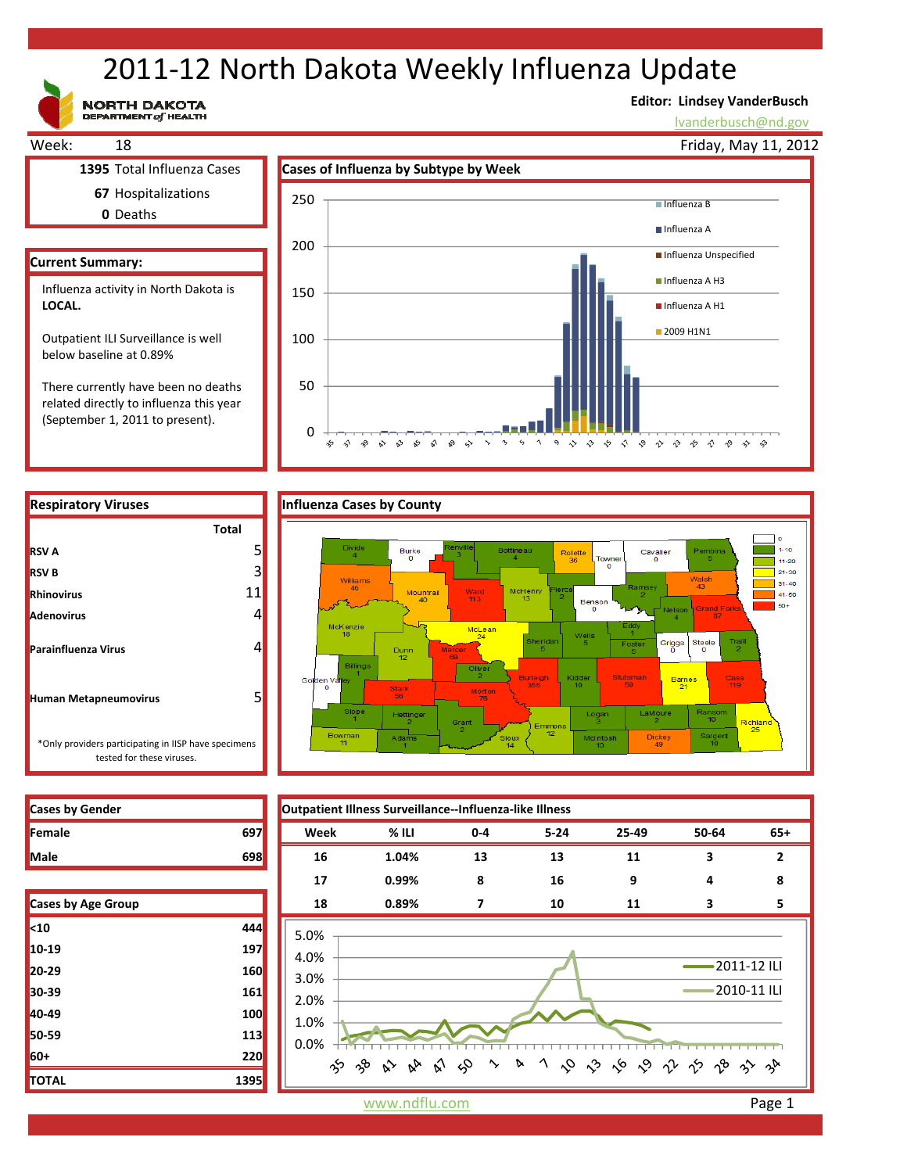# 2011‐12 North Dakota Weekly Influenza Update

**NORTH DAKOTA**<br>DEPARTMENT of HEALTH

# **Editor: Lindsey VanderBusch**

ややややもやかや

lvanderbusch@nd.gov



related directly to influenza this year (September 1, 2011 to present).

**RSV A**

**RSV B Rhinovirus Adenovirus**

**Parainfluenza Virus**

**Human Metapneumovirus**





| <b>Cases by Gender</b> |     |
|------------------------|-----|
| Female                 | 697 |
| <b>Male</b>            |     |

tested for these viruses.

| <b>Cases by Age Group</b> |      |
|---------------------------|------|
| $10$                      | 444  |
| $10-19$                   | 197  |
| $20 - 29$                 | 160  |
| 30-39                     | 161  |
| 40-49                     | 100  |
| 50-59                     | 113  |
| 60+                       | 220  |
| <b>TOTAL</b>              | 1395 |

**Cases by Gender Outpatient Illness Surveillance‐‐Influenza‐like Illness Female 697 Week % ILI 0‐4 5‐24 25‐49 50‐64 65+ Male 698 16 1.04% 13 13 11 3 2 17 0.99% 8 16 9 4 8 Cases by Age Group 18 0.89% 7 10 11 3 5** 5.0% 4.0% 2011‐12 ILI 3.0% 2010‐11 ILI 2.0% 1.0% 0.0%  $\Im$ 1 0 0 6 0 1 1 9 8 3 4 က် ကို  $\hat{\mathbf{v}}$  $\sim$ A  $\sim$  $\kappa_{\triangleright}$ 

www.ndflu.com **Page 1**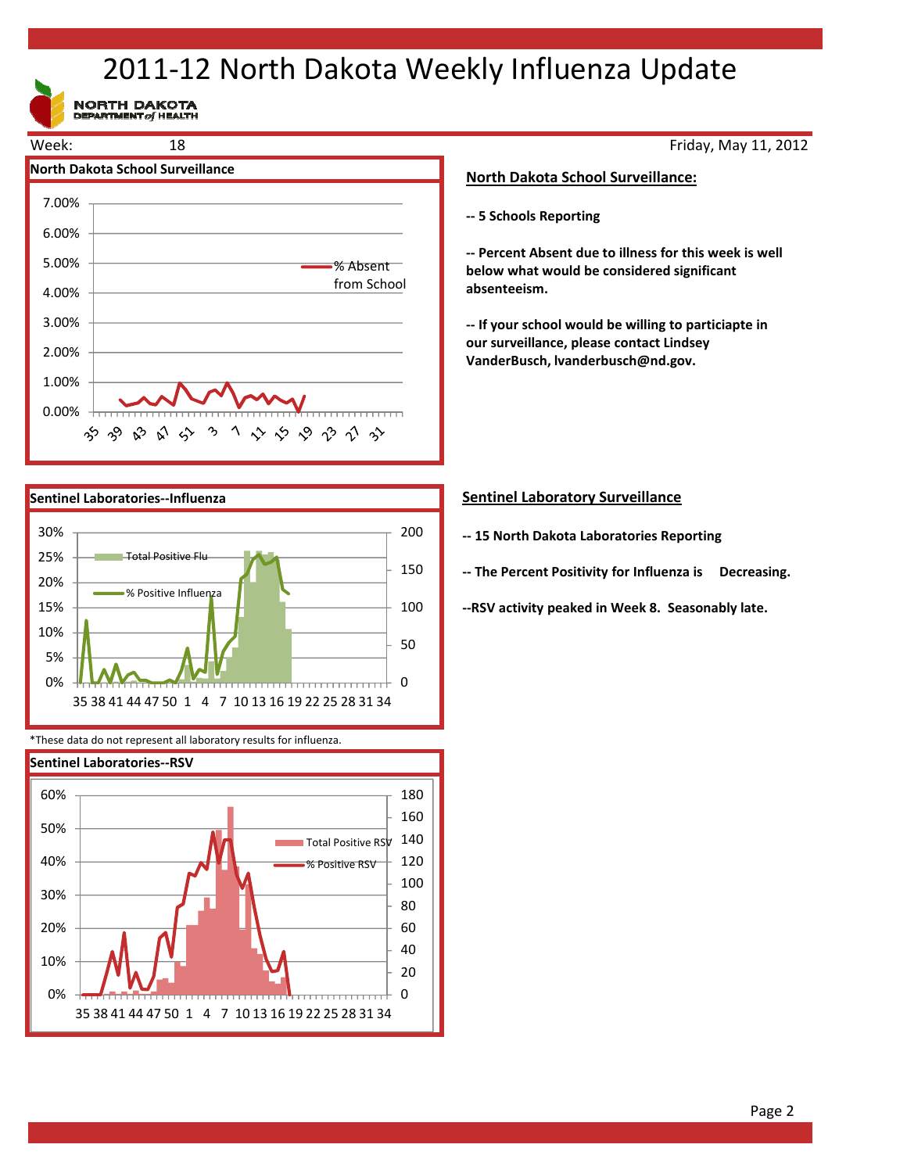# 2011‐12 North Dakota Weekly Influenza Update

NORTH DAKOTA





\*These data do not represent all laboratory results for influenza.



Friday, May 11, 2012

# **North Dakota School Surveillance:**

**‐‐ 5 Schools Reporting**

**‐‐ Percent Absent due to illness for this week is well below what would be considered significant absenteeism.**

**‐‐ If your school would be willing to particiapte in our surveillance, please contact Lindsey VanderBusch, lvanderbusch@nd.gov.**

# **Sentinel Laboratory Surveillance**

- **‐‐ 15 North Dakota Laboratories Reporting**
- **‐‐ The Percent Positivity for Influenza is Decreasing.**

**‐‐RSV activity peaked in Week 8. Seasonably late.**